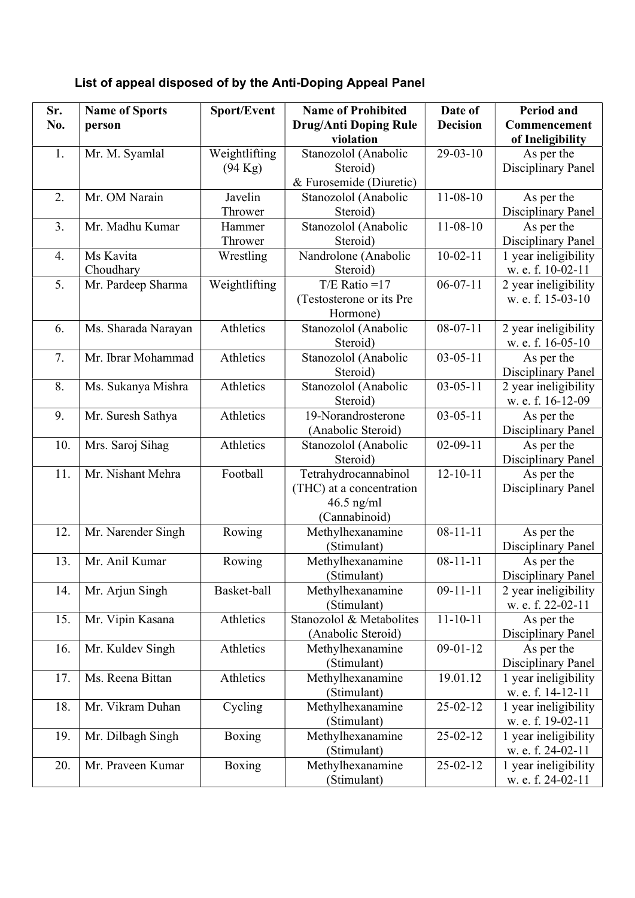## List of appeal disposed of by the Anti-Doping Appeal Panel

| Sr.<br>No. | <b>Name of Sports</b><br>person | Sport/Event                        | <b>Name of Prohibited</b><br><b>Drug/Anti Doping Rule</b><br>violation            | Date of<br><b>Decision</b> | <b>Period and</b><br>Commencement                    |
|------------|---------------------------------|------------------------------------|-----------------------------------------------------------------------------------|----------------------------|------------------------------------------------------|
| 1.         | Mr. M. Syamlal                  | Weightlifting<br>$(94 \text{ Kg})$ | Stanozolol (Anabolic<br>Steroid)<br>& Furosemide (Diuretic)                       | $29-03-10$                 | of Ineligibility<br>As per the<br>Disciplinary Panel |
| 2.         | Mr. OM Narain                   | Javelin<br>Thrower                 | Stanozolol (Anabolic<br>Steroid)                                                  | $11-08-10$                 | As per the<br>Disciplinary Panel                     |
| 3.         | Mr. Madhu Kumar                 | Hammer<br>Thrower                  | Stanozolol (Anabolic<br>Steroid)                                                  | $11 - 08 - 10$             | As per the<br>Disciplinary Panel                     |
| 4.         | Ms Kavita<br>Choudhary          | Wrestling                          | Nandrolone (Anabolic<br>Steroid)                                                  | $10-02-11$                 | 1 year ineligibility<br>w. e. f. 10-02-11            |
| 5.         | Mr. Pardeep Sharma              | Weightlifting                      | $T/E$ Ratio = 17<br>(Testosterone or its Pre<br>Hormone)                          | $06-07-11$                 | 2 year ineligibility<br>w. e. f. 15-03-10            |
| 6.         | Ms. Sharada Narayan             | Athletics                          | Stanozolol (Anabolic<br>Steroid)                                                  | $08-07-11$                 | 2 year ineligibility<br>w. e. f. 16-05-10            |
| 7.         | Mr. Ibrar Mohammad              | Athletics                          | Stanozolol (Anabolic<br>Steroid)                                                  | $03 - 05 - 11$             | As per the<br>Disciplinary Panel                     |
| 8.         | Ms. Sukanya Mishra              | Athletics                          | Stanozolol (Anabolic<br>Steroid)                                                  | $03 - 05 - 11$             | 2 year ineligibility<br>w. e. f. 16-12-09            |
| 9.         | Mr. Suresh Sathya               | Athletics                          | 19-Norandrosterone<br>(Anabolic Steroid)                                          | $03 - 05 - 11$             | As per the<br>Disciplinary Panel                     |
| 10.        | Mrs. Saroj Sihag                | Athletics                          | Stanozolol (Anabolic<br>Steroid)                                                  | $02 - 09 - 11$             | As per the<br>Disciplinary Panel                     |
| 11.        | Mr. Nishant Mehra               | Football                           | Tetrahydrocannabinol<br>(THC) at a concentration<br>$46.5$ ng/ml<br>(Cannabinoid) | $12 - 10 - 11$             | As per the<br>Disciplinary Panel                     |
| 12.        | Mr. Narender Singh              | Rowing                             | Methylhexanamine<br>(Stimulant)                                                   | $08 - 11 - 11$             | As per the<br><b>Disciplinary Panel</b>              |
| 13.        | Mr. Anil Kumar                  | Rowing                             | Methylhexanamine<br>(Stimulant)                                                   | $08 - 11 - 11$             | As per the<br>Disciplinary Panel                     |
| 14.        | Mr. Arjun Singh                 | Basket-ball                        | Methylhexanamine<br>(Stimulant)                                                   | $09 - 11 - 11$             | 2 year ineligibility<br>w. e. f. 22-02-11            |
| 15.        | Mr. Vipin Kasana                | Athletics                          | Stanozolol & Metabolites<br>(Anabolic Steroid)                                    | $11 - 10 - 11$             | As per the<br>Disciplinary Panel                     |
| 16.        | Mr. Kuldev Singh                | Athletics                          | Methylhexanamine<br>(Stimulant)                                                   | $09 - 01 - 12$             | As per the<br>Disciplinary Panel                     |
| 17.        | Ms. Reena Bittan                | Athletics                          | Methylhexanamine<br>(Stimulant)                                                   | 19.01.12                   | 1 year ineligibility<br>w. e. f. 14-12-11            |
| 18.        | Mr. Vikram Duhan                | Cycling                            | Methylhexanamine<br>(Stimulant)                                                   | 25-02-12                   | 1 year ineligibility<br>w. e. f. 19-02-11            |
| 19.        | Mr. Dilbagh Singh               | <b>Boxing</b>                      | Methylhexanamine<br>(Stimulant)                                                   | $25 - 02 - 12$             | 1 year ineligibility<br>w. e. f. 24-02-11            |
| 20.        | Mr. Praveen Kumar               | Boxing                             | Methylhexanamine<br>(Stimulant)                                                   | 25-02-12                   | 1 year ineligibility<br>w. e. f. 24-02-11            |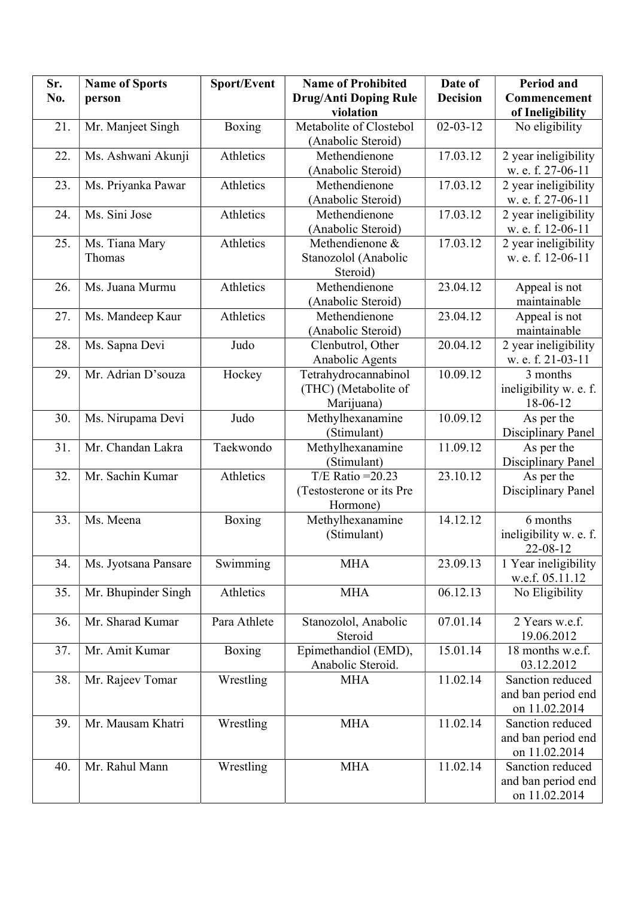| Sr. | <b>Name of Sports</b> | Sport/Event   | <b>Name of Prohibited</b>    | Date of         | Period and             |
|-----|-----------------------|---------------|------------------------------|-----------------|------------------------|
| No. | person                |               | <b>Drug/Anti Doping Rule</b> | <b>Decision</b> | Commencement           |
|     |                       |               | violation                    |                 | of Ineligibility       |
| 21. | Mr. Manjeet Singh     | Boxing        | Metabolite of Clostebol      | $02 - 03 - 12$  | No eligibility         |
|     |                       |               | (Anabolic Steroid)           |                 |                        |
| 22. | Ms. Ashwani Akunji    | Athletics     | Methendienone                | 17.03.12        | 2 year ineligibility   |
|     |                       |               | (Anabolic Steroid)           |                 | w. e. f. 27-06-11      |
| 23. | Ms. Priyanka Pawar    | Athletics     | Methendienone                | 17.03.12        | 2 year ineligibility   |
|     |                       |               | (Anabolic Steroid)           |                 | w. e. f. 27-06-11      |
| 24. | Ms. Sini Jose         | Athletics     | Methendienone                | 17.03.12        | 2 year ineligibility   |
|     |                       |               | (Anabolic Steroid)           |                 | w. e. f. 12-06-11      |
| 25. | Ms. Tiana Mary        | Athletics     | Methendienone &              | 17.03.12        | 2 year ineligibility   |
|     | Thomas                |               | Stanozolol (Anabolic         |                 | w. e. f. 12-06-11      |
|     |                       |               | Steroid)                     |                 |                        |
| 26. | Ms. Juana Murmu       | Athletics     | Methendienone                | 23.04.12        | Appeal is not          |
|     |                       |               | (Anabolic Steroid)           |                 | maintainable           |
| 27. | Ms. Mandeep Kaur      | Athletics     | Methendienone                | 23.04.12        | Appeal is not          |
|     |                       |               | (Anabolic Steroid)           |                 | maintainable           |
| 28. | Ms. Sapna Devi        | Judo          | Clenbutrol, Other            | 20.04.12        | 2 year ineligibility   |
|     |                       |               | Anabolic Agents              |                 | w. e. f. 21-03-11      |
| 29. | Mr. Adrian D'souza    | Hockey        | Tetrahydrocannabinol         | 10.09.12        | 3 months               |
|     |                       |               | (THC) (Metabolite of         |                 | ineligibility w. e. f. |
|     |                       |               | Marijuana)                   |                 | 18-06-12               |
| 30. | Ms. Nirupama Devi     | Judo          | Methylhexanamine             | 10.09.12        | As per the             |
|     |                       |               | (Stimulant)                  |                 | Disciplinary Panel     |
| 31. | Mr. Chandan Lakra     | Taekwondo     | Methylhexanamine             | 11.09.12        | As per the             |
|     |                       |               | (Stimulant)                  |                 | Disciplinary Panel     |
| 32. | Mr. Sachin Kumar      | Athletics     | T/E Ratio = $20.23$          | 23.10.12        | As per the             |
|     |                       |               | (Testosterone or its Pre     |                 | Disciplinary Panel     |
|     |                       |               | Hormone)                     |                 |                        |
| 33. | Ms. Meena             | Boxing        | Methylhexanamine             | 14.12.12        | 6 months               |
|     |                       |               | (Stimulant)                  |                 | ineligibility w. e. f. |
|     |                       |               |                              |                 | 22-08-12               |
| 34. | Ms. Jyotsana Pansare  | Swimming      | <b>MHA</b>                   | 23.09.13        | 1 Year ineligibility   |
|     |                       |               |                              |                 | w.e.f. 05.11.12        |
| 35. | Mr. Bhupinder Singh   | Athletics     | <b>MHA</b>                   | 06.12.13        | No Eligibility         |
|     |                       |               |                              |                 |                        |
| 36. | Mr. Sharad Kumar      | Para Athlete  | Stanozolol, Anabolic         | 07.01.14        | 2 Years w.e.f.         |
|     |                       |               | Steroid                      |                 | 19.06.2012             |
| 37. | Mr. Amit Kumar        | <b>Boxing</b> | Epimethandiol (EMD),         | 15.01.14        | 18 months w.e.f.       |
|     |                       |               | Anabolic Steroid.            |                 | 03.12.2012             |
| 38. | Mr. Rajeev Tomar      | Wrestling     | <b>MHA</b>                   | 11.02.14        | Sanction reduced       |
|     |                       |               |                              |                 | and ban period end     |
|     |                       |               |                              |                 | on 11.02.2014          |
| 39. | Mr. Mausam Khatri     | Wrestling     | <b>MHA</b>                   | 11.02.14        | Sanction reduced       |
|     |                       |               |                              |                 | and ban period end     |
|     |                       |               |                              |                 | on 11.02.2014          |
| 40. | Mr. Rahul Mann        | Wrestling     | <b>MHA</b>                   | 11.02.14        | Sanction reduced       |
|     |                       |               |                              |                 | and ban period end     |
|     |                       |               |                              |                 | on 11.02.2014          |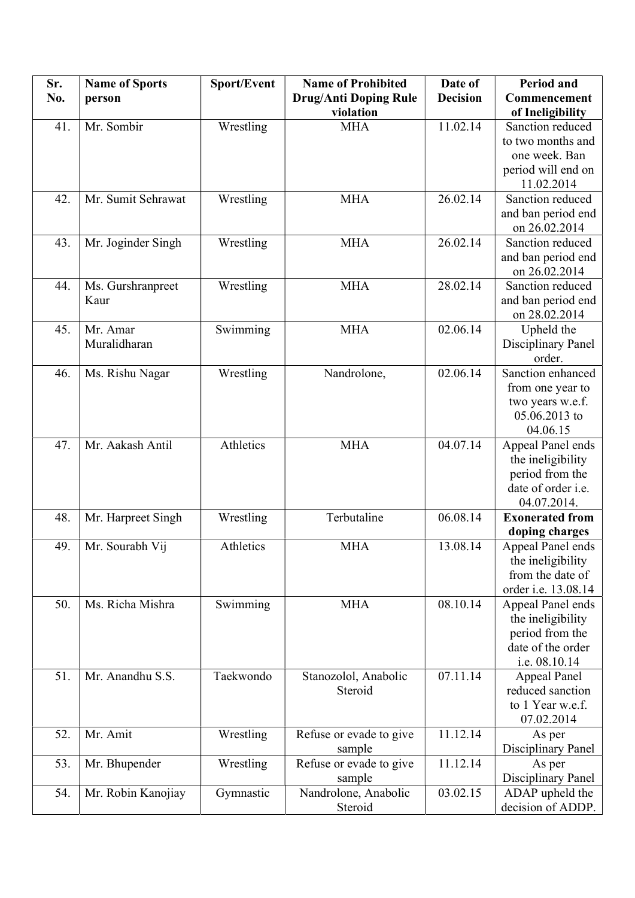| Sr. | <b>Name of Sports</b> | Sport/Event | <b>Name of Prohibited</b>    | Date of         | <b>Period and</b>      |
|-----|-----------------------|-------------|------------------------------|-----------------|------------------------|
| No. | person                |             | <b>Drug/Anti Doping Rule</b> | <b>Decision</b> | Commencement           |
|     |                       |             | violation                    |                 | of Ineligibility       |
| 41. | Mr. Sombir            | Wrestling   | <b>MHA</b>                   | 11.02.14        | Sanction reduced       |
|     |                       |             |                              |                 | to two months and      |
|     |                       |             |                              |                 | one week. Ban          |
|     |                       |             |                              |                 | period will end on     |
|     |                       |             |                              |                 | 11.02.2014             |
| 42. | Mr. Sumit Sehrawat    | Wrestling   | <b>MHA</b>                   | 26.02.14        | Sanction reduced       |
|     |                       |             |                              |                 | and ban period end     |
|     |                       |             |                              |                 | on 26.02.2014          |
| 43. | Mr. Joginder Singh    | Wrestling   | <b>MHA</b>                   | 26.02.14        | Sanction reduced       |
|     |                       |             |                              |                 | and ban period end     |
|     |                       |             |                              |                 | on 26.02.2014          |
| 44. | Ms. Gurshranpreet     | Wrestling   | <b>MHA</b>                   | 28.02.14        | Sanction reduced       |
|     | Kaur                  |             |                              |                 | and ban period end     |
|     |                       |             |                              |                 | on 28.02.2014          |
| 45. | Mr. Amar              | Swimming    | <b>MHA</b>                   | 02.06.14        | Upheld the             |
|     | Muralidharan          |             |                              |                 | Disciplinary Panel     |
|     |                       |             |                              |                 | order.                 |
| 46. | Ms. Rishu Nagar       | Wrestling   | Nandrolone,                  | 02.06.14        | Sanction enhanced      |
|     |                       |             |                              |                 | from one year to       |
|     |                       |             |                              |                 | two years w.e.f.       |
|     |                       |             |                              |                 | 05.06.2013 to          |
|     |                       |             |                              |                 | 04.06.15               |
| 47. | Mr. Aakash Antil      | Athletics   | <b>MHA</b>                   | 04.07.14        | Appeal Panel ends      |
|     |                       |             |                              |                 | the ineligibility      |
|     |                       |             |                              |                 | period from the        |
|     |                       |             |                              |                 | date of order i.e.     |
|     |                       |             |                              |                 | 04.07.2014.            |
| 48. | Mr. Harpreet Singh    | Wrestling   | Terbutaline                  | 06.08.14        | <b>Exonerated from</b> |
|     |                       |             |                              |                 | doping charges         |
| 49. | Mr. Sourabh Vij       | Athletics   | <b>MHA</b>                   | 13.08.14        | Appeal Panel ends      |
|     |                       |             |                              |                 | the ineligibility      |
|     |                       |             |                              |                 | from the date of       |
|     |                       |             |                              |                 | order i.e. 13.08.14    |
| 50. | Ms. Richa Mishra      | Swimming    | <b>MHA</b>                   | 08.10.14        | Appeal Panel ends      |
|     |                       |             |                              |                 | the ineligibility      |
|     |                       |             |                              |                 | period from the        |
|     |                       |             |                              |                 | date of the order      |
|     |                       |             |                              |                 | i.e. 08.10.14          |
| 51. | Mr. Anandhu S.S.      | Taekwondo   | Stanozolol, Anabolic         | 07.11.14        | <b>Appeal Panel</b>    |
|     |                       |             | Steroid                      |                 | reduced sanction       |
|     |                       |             |                              |                 | to 1 Year w.e.f.       |
|     |                       |             |                              |                 | 07.02.2014             |
| 52. | Mr. Amit              | Wrestling   | Refuse or evade to give      | 11.12.14        | As per                 |
|     |                       |             | sample                       |                 | Disciplinary Panel     |
| 53. | Mr. Bhupender         | Wrestling   | Refuse or evade to give      | 11.12.14        | As per                 |
|     |                       |             | sample                       |                 | Disciplinary Panel     |
| 54. | Mr. Robin Kanojiay    | Gymnastic   | Nandrolone, Anabolic         | 03.02.15        | ADAP upheld the        |
|     |                       |             | Steroid                      |                 | decision of ADDP.      |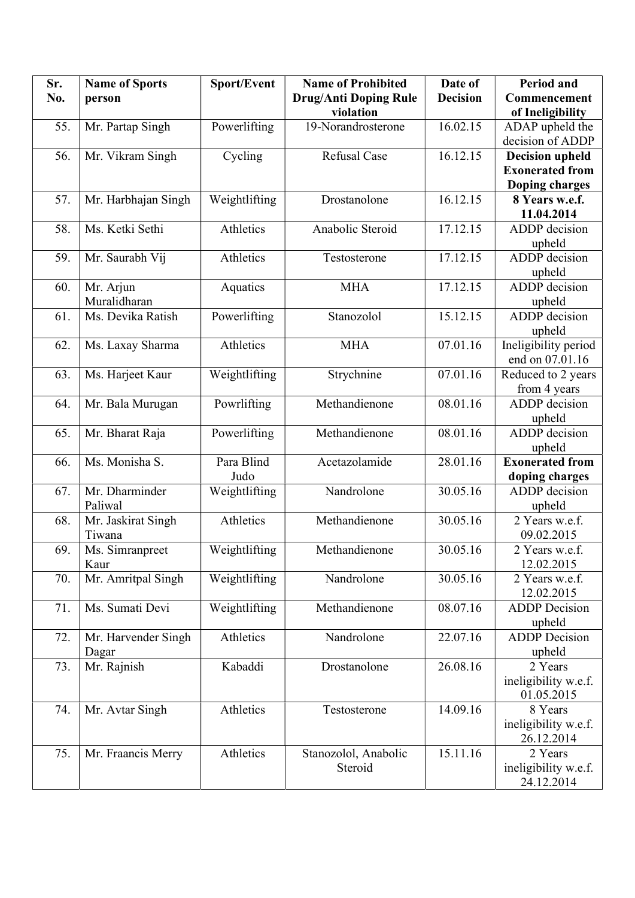| Sr. | <b>Name of Sports</b> | Sport/Event   | <b>Name of Prohibited</b> | Date of         | <b>Period and</b>        |
|-----|-----------------------|---------------|---------------------------|-----------------|--------------------------|
| No. | person                |               | Drug/Anti Doping Rule     | <b>Decision</b> | Commencement             |
|     |                       |               | violation                 |                 | of Ineligibility         |
| 55. | Mr. Partap Singh      | Powerlifting  | 19-Norandrosterone        | 16.02.15        | ADAP upheld the          |
|     |                       |               |                           |                 | decision of ADDP         |
| 56. | Mr. Vikram Singh      | Cycling       | <b>Refusal Case</b>       | 16.12.15        | <b>Decision upheld</b>   |
|     |                       |               |                           |                 | <b>Exonerated from</b>   |
|     |                       |               |                           |                 | Doping charges           |
| 57. | Mr. Harbhajan Singh   | Weightlifting | Drostanolone              | 16.12.15        | 8 Years w.e.f.           |
|     |                       |               |                           |                 | 11.04.2014               |
| 58. | Ms. Ketki Sethi       | Athletics     | Anabolic Steroid          | 17.12.15        | ADDP decision            |
|     |                       |               |                           |                 | upheld                   |
| 59. | Mr. Saurabh Vij       | Athletics     | Testosterone              | 17.12.15        | <b>ADDP</b> decision     |
|     |                       |               |                           |                 | upheld                   |
| 60. | Mr. Arjun             | Aquatics      | <b>MHA</b>                | 17.12.15        | <b>ADDP</b> decision     |
|     | Muralidharan          |               |                           |                 | upheld                   |
| 61. | Ms. Devika Ratish     | Powerlifting  | Stanozolol                | 15.12.15        | ADDP decision            |
|     |                       |               |                           |                 | upheld                   |
| 62. | Ms. Laxay Sharma      | Athletics     | <b>MHA</b>                | 07.01.16        | Ineligibility period     |
|     |                       |               |                           |                 | end on 07.01.16          |
| 63. | Ms. Harjeet Kaur      | Weightlifting | Strychnine                | 07.01.16        | Reduced to 2 years       |
|     |                       |               |                           |                 | from 4 years             |
| 64. | Mr. Bala Murugan      | Powrlifting   | Methandienone             | 08.01.16        | ADDP decision            |
|     |                       |               |                           |                 | upheld                   |
| 65. | Mr. Bharat Raja       | Powerlifting  | Methandienone             | 08.01.16        | ADDP decision            |
|     |                       |               |                           |                 | upheld                   |
| 66. | Ms. Monisha S.        | Para Blind    | Acetazolamide             | 28.01.16        | <b>Exonerated from</b>   |
|     |                       | Judo          |                           |                 | doping charges           |
| 67. | Mr. Dharminder        | Weightlifting | Nandrolone                | 30.05.16        | ADDP decision            |
|     | Paliwal               |               |                           |                 |                          |
| 68. | Mr. Jaskirat Singh    | Athletics     | Methandienone             | 30.05.16        | upheld<br>2 Years w.e.f. |
|     | Tiwana                |               |                           |                 | 09.02.2015               |
|     | Ms. Simranpreet       |               | Methandienone             |                 |                          |
| 69. |                       | Weightlifting |                           | 30.05.16        | 2 Years w.e.f.           |
|     | Kaur                  |               |                           |                 | 12.02.2015               |
| 70. | Mr. Amritpal Singh    | Weightlifting | Nandrolone                | 30.05.16        | 2 Years w.e.f.           |
|     |                       |               |                           |                 | 12.02.2015               |
| 71. | Ms. Sumati Devi       | Weightlifting | Methandienone             | 08.07.16        | <b>ADDP</b> Decision     |
|     |                       |               |                           |                 | upheld                   |
| 72. | Mr. Harvender Singh   | Athletics     | Nandrolone                | 22.07.16        | <b>ADDP</b> Decision     |
|     | Dagar                 |               |                           |                 | upheld                   |
| 73. | Mr. Rajnish           | Kabaddi       | Drostanolone              | 26.08.16        | 2 Years                  |
|     |                       |               |                           |                 | ineligibility w.e.f.     |
|     |                       |               |                           |                 | 01.05.2015               |
| 74. | Mr. Avtar Singh       | Athletics     | Testosterone              | 14.09.16        | 8 Years                  |
|     |                       |               |                           |                 | ineligibility w.e.f.     |
|     |                       |               |                           |                 | 26.12.2014               |
| 75. | Mr. Fraancis Merry    | Athletics     | Stanozolol, Anabolic      | 15.11.16        | 2 Years                  |
|     |                       |               | Steroid                   |                 | ineligibility w.e.f.     |
|     |                       |               |                           |                 | 24.12.2014               |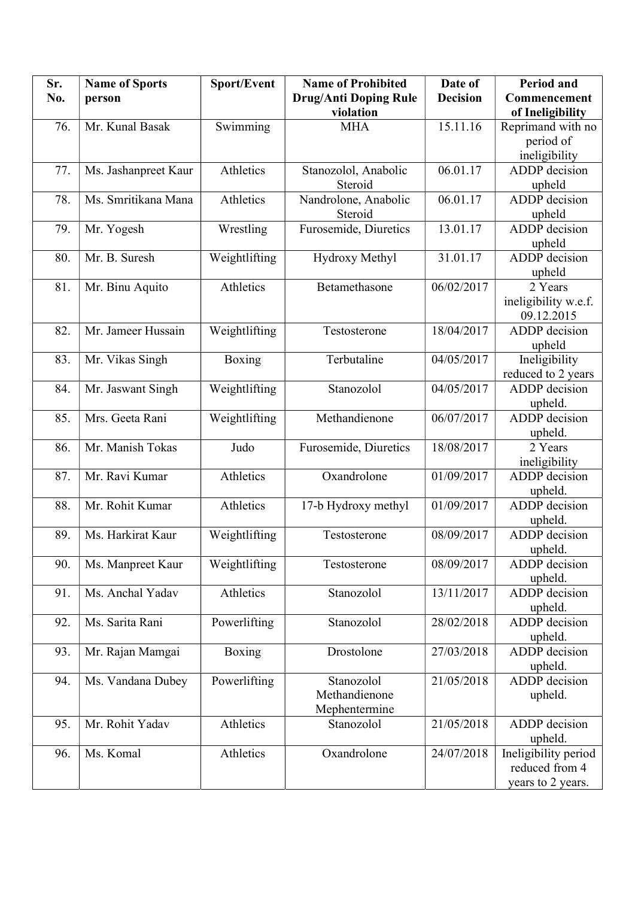| Sr. | <b>Name of Sports</b> | Sport/Event   | <b>Name of Prohibited</b>    | Date of         | <b>Period and</b>    |
|-----|-----------------------|---------------|------------------------------|-----------------|----------------------|
| No. | person                |               | <b>Drug/Anti Doping Rule</b> | <b>Decision</b> | Commencement         |
|     |                       |               | violation                    |                 | of Ineligibility     |
| 76. | Mr. Kunal Basak       | Swimming      | <b>MHA</b>                   | 15.11.16        | Reprimand with no    |
|     |                       |               |                              |                 | period of            |
|     |                       |               |                              |                 | ineligibility        |
| 77. | Ms. Jashanpreet Kaur  | Athletics     | Stanozolol, Anabolic         | 06.01.17        | ADDP decision        |
|     |                       |               | Steroid                      |                 | upheld               |
| 78. | Ms. Smritikana Mana   | Athletics     | Nandrolone, Anabolic         | 06.01.17        | ADDP decision        |
|     |                       |               | Steroid                      |                 | upheld               |
| 79. | Mr. Yogesh            | Wrestling     | Furosemide, Diuretics        | 13.01.17        | <b>ADDP</b> decision |
|     |                       |               |                              |                 | upheld               |
| 80. | Mr. B. Suresh         | Weightlifting | Hydroxy Methyl               | 31.01.17        | ADDP decision        |
|     |                       |               |                              |                 | upheld               |
| 81. | Mr. Binu Aquito       | Athletics     | Betamethasone                | 06/02/2017      | 2 Years              |
|     |                       |               |                              |                 | ineligibility w.e.f. |
|     |                       |               |                              |                 | 09.12.2015           |
| 82. | Mr. Jameer Hussain    | Weightlifting | Testosterone                 | 18/04/2017      | ADDP decision        |
|     |                       |               |                              |                 | upheld               |
| 83. | Mr. Vikas Singh       | Boxing        | Terbutaline                  | 04/05/2017      | Ineligibility        |
|     |                       |               |                              |                 | reduced to 2 years   |
| 84. | Mr. Jaswant Singh     | Weightlifting | Stanozolol                   | 04/05/2017      | <b>ADDP</b> decision |
|     |                       |               |                              |                 | upheld.              |
| 85. | Mrs. Geeta Rani       | Weightlifting | Methandienone                | 06/07/2017      | ADDP decision        |
| 86. | Mr. Manish Tokas      | Judo          | Furosemide, Diuretics        | 18/08/2017      | upheld.<br>2 Years   |
|     |                       |               |                              |                 | ineligibility        |
| 87. | Mr. Ravi Kumar        | Athletics     | Oxandrolone                  | 01/09/2017      | <b>ADDP</b> decision |
|     |                       |               |                              |                 | upheld.              |
| 88. | Mr. Rohit Kumar       | Athletics     | 17-b Hydroxy methyl          | 01/09/2017      | ADDP decision        |
|     |                       |               |                              |                 | upheld.              |
| 89. | Ms. Harkirat Kaur     | Weightlifting | Testosterone                 | 08/09/2017      | ADDP decision        |
|     |                       |               |                              |                 | upheld.              |
| 90. | Ms. Manpreet Kaur     | Weightlifting | Testosterone                 | 08/09/2017      | ADDP decision        |
|     |                       |               |                              |                 | upheld.              |
| 91. | Ms. Anchal Yadav      | Athletics     | Stanozolol                   | 13/11/2017      | ADDP decision        |
|     |                       |               |                              |                 | upheld.              |
| 92. | Ms. Sarita Rani       | Powerlifting  | Stanozolol                   | 28/02/2018      | ADDP decision        |
|     |                       |               |                              |                 | upheld.              |
| 93. | Mr. Rajan Mamgai      | Boxing        | Drostolone                   | 27/03/2018      | ADDP decision        |
|     |                       |               |                              |                 | upheld.              |
| 94. | Ms. Vandana Dubey     | Powerlifting  | Stanozolol                   | 21/05/2018      | ADDP decision        |
|     |                       |               | Methandienone                |                 | upheld.              |
|     |                       |               | Mephentermine                |                 |                      |
| 95. | Mr. Rohit Yadav       | Athletics     | Stanozolol                   | 21/05/2018      | ADDP decision        |
|     |                       |               |                              |                 | upheld.              |
| 96. | Ms. Komal             | Athletics     | Oxandrolone                  | 24/07/2018      | Ineligibility period |
|     |                       |               |                              |                 | reduced from 4       |
|     |                       |               |                              |                 | years to 2 years.    |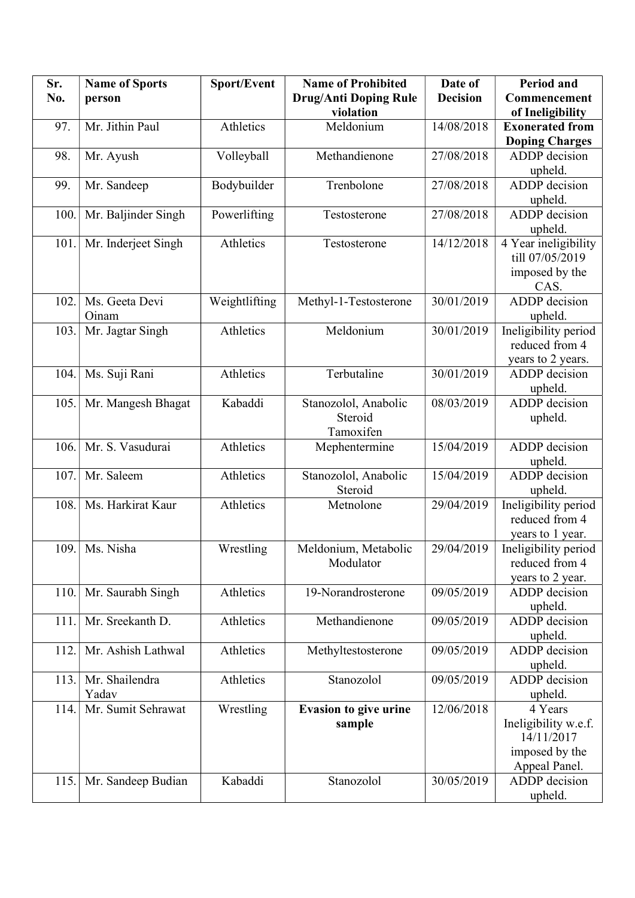| Sr.  | <b>Name of Sports</b> | Sport/Event   | <b>Name of Prohibited</b>    | Date of         | <b>Period and</b>      |
|------|-----------------------|---------------|------------------------------|-----------------|------------------------|
| No.  | person                |               | Drug/Anti Doping Rule        | <b>Decision</b> | Commencement           |
|      |                       |               | violation                    |                 | of Ineligibility       |
| 97.  | Mr. Jithin Paul       | Athletics     | Meldonium                    | 14/08/2018      | <b>Exonerated from</b> |
|      |                       |               |                              |                 | <b>Doping Charges</b>  |
| 98.  | Mr. Ayush             | Volleyball    | Methandienone                | 27/08/2018      | ADDP decision          |
|      |                       |               |                              |                 | upheld.                |
| 99.  | Mr. Sandeep           | Bodybuilder   | Trenbolone                   | 27/08/2018      | <b>ADDP</b> decision   |
|      |                       |               |                              |                 | upheld.                |
| 100. | Mr. Baljinder Singh   | Powerlifting  | Testosterone                 | 27/08/2018      | <b>ADDP</b> decision   |
|      |                       |               |                              |                 | upheld.                |
| 101. | Mr. Inderjeet Singh   | Athletics     | Testosterone                 | 14/12/2018      | 4 Year ineligibility   |
|      |                       |               |                              |                 | till 07/05/2019        |
|      |                       |               |                              |                 | imposed by the         |
|      |                       |               |                              |                 | CAS.                   |
| 102. | Ms. Geeta Devi        | Weightlifting | Methyl-1-Testosterone        | 30/01/2019      | <b>ADDP</b> decision   |
|      | Oinam                 |               |                              |                 | upheld.                |
| 103. | Mr. Jagtar Singh      | Athletics     | Meldonium                    | 30/01/2019      | Ineligibility period   |
|      |                       |               |                              |                 | reduced from 4         |
|      |                       |               |                              |                 | years to 2 years.      |
| 104. | Ms. Suji Rani         | Athletics     | Terbutaline                  | 30/01/2019      | <b>ADDP</b> decision   |
|      |                       |               |                              |                 | upheld.                |
| 105. | Mr. Mangesh Bhagat    | Kabaddi       | Stanozolol, Anabolic         | 08/03/2019      | <b>ADDP</b> decision   |
|      |                       |               | Steroid                      |                 | upheld.                |
|      |                       |               | Tamoxifen                    |                 |                        |
| 106. | Mr. S. Vasudurai      | Athletics     | Mephentermine                | 15/04/2019      | <b>ADDP</b> decision   |
|      |                       |               |                              |                 | upheld.                |
| 107. | Mr. Saleem            | Athletics     | Stanozolol, Anabolic         | 15/04/2019      | <b>ADDP</b> decision   |
|      |                       |               | Steroid                      |                 | upheld.                |
| 108. | Ms. Harkirat Kaur     | Athletics     | Metnolone                    | 29/04/2019      | Ineligibility period   |
|      |                       |               |                              |                 | reduced from 4         |
|      |                       |               |                              |                 | years to 1 year.       |
| 109. | Ms. Nisha             | Wrestling     | Meldonium, Metabolic         | 29/04/2019      | Ineligibility period   |
|      |                       |               | Modulator                    |                 | reduced from 4         |
|      |                       |               |                              |                 | years to 2 year.       |
| 110. | Mr. Saurabh Singh     | Athletics     | 19-Norandrosterone           | 09/05/2019      | ADDP decision          |
|      |                       |               |                              |                 | upheld.                |
| 111. | Mr. Sreekanth D.      | Athletics     | Methandienone                | 09/05/2019      | ADDP decision          |
|      |                       |               |                              |                 | upheld.                |
| 112. | Mr. Ashish Lathwal    | Athletics     | Methyltestosterone           | 09/05/2019      | ADDP decision          |
|      |                       |               |                              |                 | upheld.                |
| 113. | Mr. Shailendra        | Athletics     | Stanozolol                   | 09/05/2019      | ADDP decision          |
|      | Yadav                 |               |                              |                 | upheld.                |
| 114. | Mr. Sumit Sehrawat    | Wrestling     | <b>Evasion to give urine</b> | 12/06/2018      | 4 Years                |
|      |                       |               | sample                       |                 | Ineligibility w.e.f.   |
|      |                       |               |                              |                 | 14/11/2017             |
|      |                       |               |                              |                 | imposed by the         |
|      |                       |               |                              |                 | Appeal Panel.          |
| 115. | Mr. Sandeep Budian    | Kabaddi       | Stanozolol                   | 30/05/2019      | <b>ADDP</b> decision   |
|      |                       |               |                              |                 | upheld.                |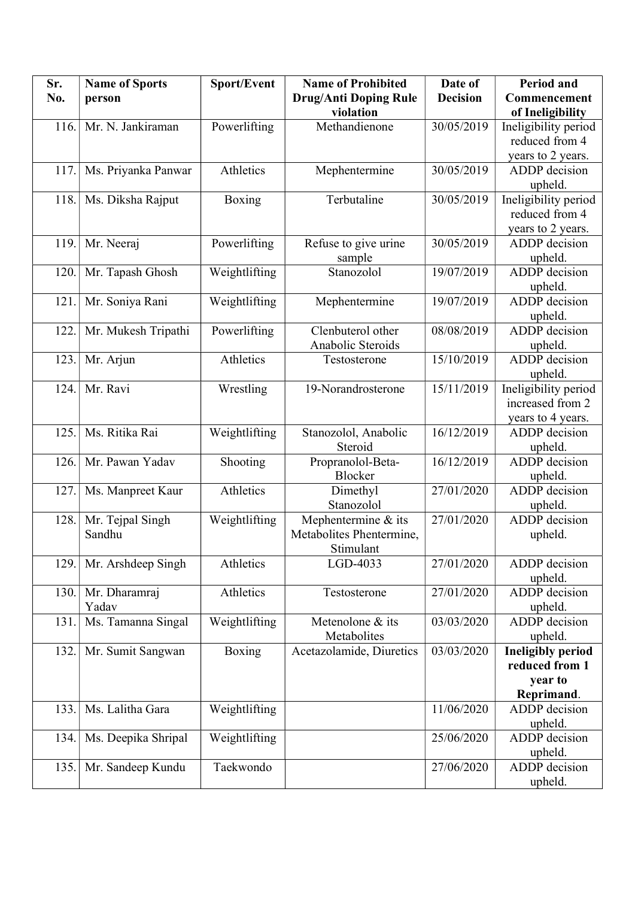| Sr.  | <b>Name of Sports</b> | Sport/Event   | <b>Name of Prohibited</b>    | Date of         | <b>Period and</b>        |
|------|-----------------------|---------------|------------------------------|-----------------|--------------------------|
| No.  | person                |               | <b>Drug/Anti Doping Rule</b> | <b>Decision</b> | Commencement             |
|      |                       |               | violation                    |                 | of Ineligibility         |
| 116. | Mr. N. Jankiraman     | Powerlifting  | Methandienone                | 30/05/2019      | Ineligibility period     |
|      |                       |               |                              |                 | reduced from 4           |
|      |                       |               |                              |                 | years to 2 years.        |
| 117. | Ms. Priyanka Panwar   | Athletics     | Mephentermine                | 30/05/2019      | <b>ADDP</b> decision     |
|      |                       |               |                              |                 | upheld.                  |
| 118. | Ms. Diksha Rajput     | Boxing        | Terbutaline                  | 30/05/2019      | Ineligibility period     |
|      |                       |               |                              |                 | reduced from 4           |
|      |                       |               |                              |                 | years to 2 years.        |
| 119. | Mr. Neeraj            | Powerlifting  | Refuse to give urine         | 30/05/2019      | ADDP decision            |
|      |                       |               | sample                       |                 | upheld.                  |
| 120. | Mr. Tapash Ghosh      | Weightlifting | Stanozolol                   | 19/07/2019      | <b>ADDP</b> decision     |
|      |                       |               |                              |                 | upheld.                  |
| 121. | Mr. Soniya Rani       | Weightlifting | Mephentermine                | 19/07/2019      | <b>ADDP</b> decision     |
|      |                       |               |                              |                 | upheld.                  |
| 122. | Mr. Mukesh Tripathi   | Powerlifting  | Clenbuterol other            | 08/08/2019      | <b>ADDP</b> decision     |
|      |                       |               | Anabolic Steroids            |                 | upheld.                  |
| 123. | Mr. Arjun             | Athletics     | Testosterone                 | 15/10/2019      | <b>ADDP</b> decision     |
|      |                       |               |                              |                 | upheld.                  |
| 124. | Mr. Ravi              | Wrestling     | 19-Norandrosterone           | 15/11/2019      | Ineligibility period     |
|      |                       |               |                              |                 | increased from 2         |
|      |                       |               |                              |                 | years to 4 years.        |
| 125. | Ms. Ritika Rai        | Weightlifting | Stanozolol, Anabolic         | 16/12/2019      | ADDP decision            |
|      |                       |               | Steroid                      |                 | upheld.                  |
| 126. | Mr. Pawan Yadav       | Shooting      | Propranolol-Beta-            | 16/12/2019      | ADDP decision            |
|      |                       |               | Blocker                      |                 | upheld.                  |
| 127. | Ms. Manpreet Kaur     | Athletics     | Dimethyl                     | 27/01/2020      | ADDP decision            |
|      |                       |               | Stanozolol                   |                 | upheld.<br>ADDP decision |
| 128. | Mr. Tejpal Singh      | Weightlifting | Mephentermine & its          | 27/01/2020      |                          |
|      | Sandhu                |               | Metabolites Phentermine,     |                 | upheld.                  |
| 129. | Mr. Arshdeep Singh    | Athletics     | Stimulant<br>LGD-4033        | 27/01/2020      | ADDP decision            |
|      |                       |               |                              |                 | upheld.                  |
| 130. | Mr. Dharamraj         | Athletics     | Testosterone                 | 27/01/2020      | ADDP decision            |
|      | Yadav                 |               |                              |                 | upheld.                  |
| 131. | Ms. Tamanna Singal    | Weightlifting | Metenolone & its             | 03/03/2020      | <b>ADDP</b> decision     |
|      |                       |               | Metabolites                  |                 | upheld.                  |
| 132. | Mr. Sumit Sangwan     | <b>Boxing</b> | Acetazolamide, Diuretics     | 03/03/2020      | <b>Ineligibly period</b> |
|      |                       |               |                              |                 | reduced from 1           |
|      |                       |               |                              |                 | year to                  |
|      |                       |               |                              |                 | Reprimand.               |
| 133. | Ms. Lalitha Gara      | Weightlifting |                              | 11/06/2020      | ADDP decision            |
|      |                       |               |                              |                 | upheld.                  |
| 134. | Ms. Deepika Shripal   | Weightlifting |                              | 25/06/2020      | ADDP decision            |
|      |                       |               |                              |                 | upheld.                  |
| 135. | Mr. Sandeep Kundu     | Taekwondo     |                              | 27/06/2020      | ADDP decision            |
|      |                       |               |                              |                 | upheld.                  |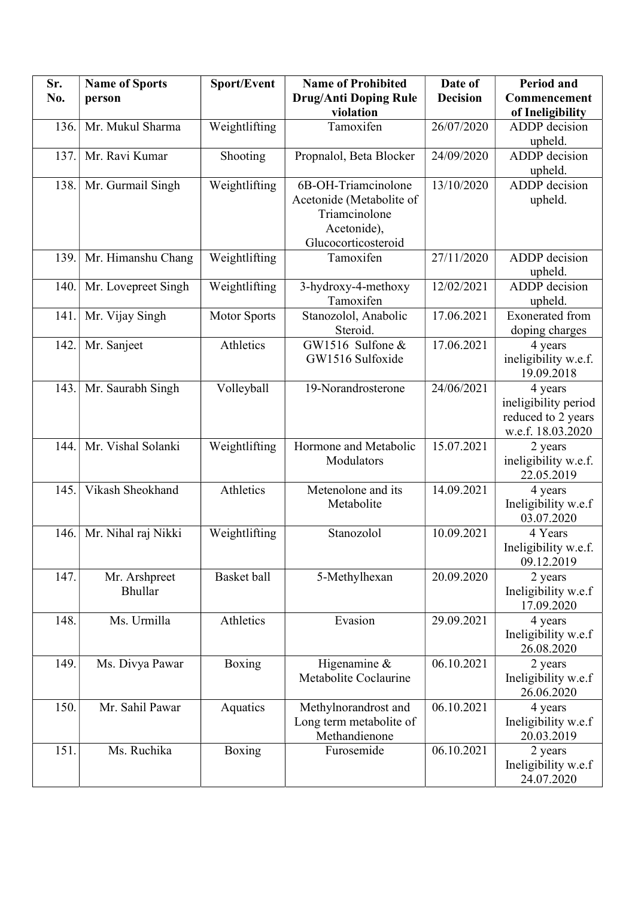| Sr.  | <b>Name of Sports</b> | Sport/Event         | <b>Name of Prohibited</b> | Date of         | <b>Period and</b>                  |
|------|-----------------------|---------------------|---------------------------|-----------------|------------------------------------|
| No.  | person                |                     | Drug/Anti Doping Rule     | <b>Decision</b> | Commencement                       |
|      |                       |                     | violation                 |                 | of Ineligibility                   |
| 136. | Mr. Mukul Sharma      | Weightlifting       | Tamoxifen                 | 26/07/2020      | <b>ADDP</b> decision               |
|      |                       |                     |                           |                 | upheld.                            |
| 137. | Mr. Ravi Kumar        | Shooting            | Propnalol, Beta Blocker   | 24/09/2020      | <b>ADDP</b> decision               |
|      |                       |                     |                           |                 | upheld.                            |
| 138. | Mr. Gurmail Singh     | Weightlifting       | 6B-OH-Triamcinolone       | 13/10/2020      | <b>ADDP</b> decision               |
|      |                       |                     | Acetonide (Metabolite of  |                 | upheld.                            |
|      |                       |                     | Triamcinolone             |                 |                                    |
|      |                       |                     | Acetonide),               |                 |                                    |
|      |                       |                     | Glucocorticosteroid       |                 |                                    |
| 139. | Mr. Himanshu Chang    | Weightlifting       | Tamoxifen                 | 27/11/2020      | ADDP decision                      |
|      |                       |                     |                           |                 | upheld.                            |
| 140. | Mr. Lovepreet Singh   | Weightlifting       | 3-hydroxy-4-methoxy       | 12/02/2021      | <b>ADDP</b> decision               |
|      |                       |                     | Tamoxifen                 |                 | upheld.                            |
| 141. | Mr. Vijay Singh       | <b>Motor Sports</b> | Stanozolol, Anabolic      | 17.06.2021      | <b>Exonerated</b> from             |
|      |                       |                     | Steroid.                  |                 | doping charges                     |
| 142. | Mr. Sanjeet           | Athletics           | GW1516 Sulfone &          | 17.06.2021      | 4 years                            |
|      |                       |                     | GW1516 Sulfoxide          |                 | ineligibility w.e.f.               |
|      |                       |                     |                           |                 | 19.09.2018                         |
| 143. | Mr. Saurabh Singh     | Volleyball          | 19-Norandrosterone        | 24/06/2021      | 4 years                            |
|      |                       |                     |                           |                 | ineligibility period               |
|      |                       |                     |                           |                 | reduced to 2 years                 |
|      |                       |                     |                           |                 | w.e.f. 18.03.2020                  |
| 144. | Mr. Vishal Solanki    | Weightlifting       | Hormone and Metabolic     | 15.07.2021      | 2 years                            |
|      |                       |                     | Modulators                |                 | ineligibility w.e.f.<br>22.05.2019 |
| 145. | Vikash Sheokhand      | Athletics           | Metenolone and its        | 14.09.2021      | 4 years                            |
|      |                       |                     | Metabolite                |                 | Ineligibility w.e.f                |
|      |                       |                     |                           |                 | 03.07.2020                         |
| 146. | Mr. Nihal raj Nikki   | Weightlifting       | Stanozolol                | 10.09.2021      | 4 Years                            |
|      |                       |                     |                           |                 | Ineligibility w.e.f.               |
|      |                       |                     |                           |                 | 09.12.2019                         |
| 147. | Mr. Arshpreet         | Basket ball         | 5-Methylhexan             | 20.09.2020      | 2 years                            |
|      | <b>Bhullar</b>        |                     |                           |                 | Ineligibility w.e.f                |
|      |                       |                     |                           |                 | 17.09.2020                         |
| 148. | Ms. Urmilla           | Athletics           | Evasion                   | 29.09.2021      | 4 years                            |
|      |                       |                     |                           |                 | Ineligibility w.e.f                |
|      |                       |                     |                           |                 | 26.08.2020                         |
| 149. | Ms. Divya Pawar       | Boxing              | Higenamine &              | 06.10.2021      | 2 years                            |
|      |                       |                     | Metabolite Coclaurine     |                 | Ineligibility w.e.f                |
|      |                       |                     |                           |                 | 26.06.2020                         |
| 150. | Mr. Sahil Pawar       | Aquatics            | Methylnorandrost and      | 06.10.2021      | 4 years                            |
|      |                       |                     | Long term metabolite of   |                 | Ineligibility w.e.f                |
|      |                       |                     | Methandienone             |                 | 20.03.2019                         |
| 151. | Ms. Ruchika           | Boxing              | Furosemide                | 06.10.2021      | 2 years                            |
|      |                       |                     |                           |                 | Ineligibility w.e.f                |
|      |                       |                     |                           |                 | 24.07.2020                         |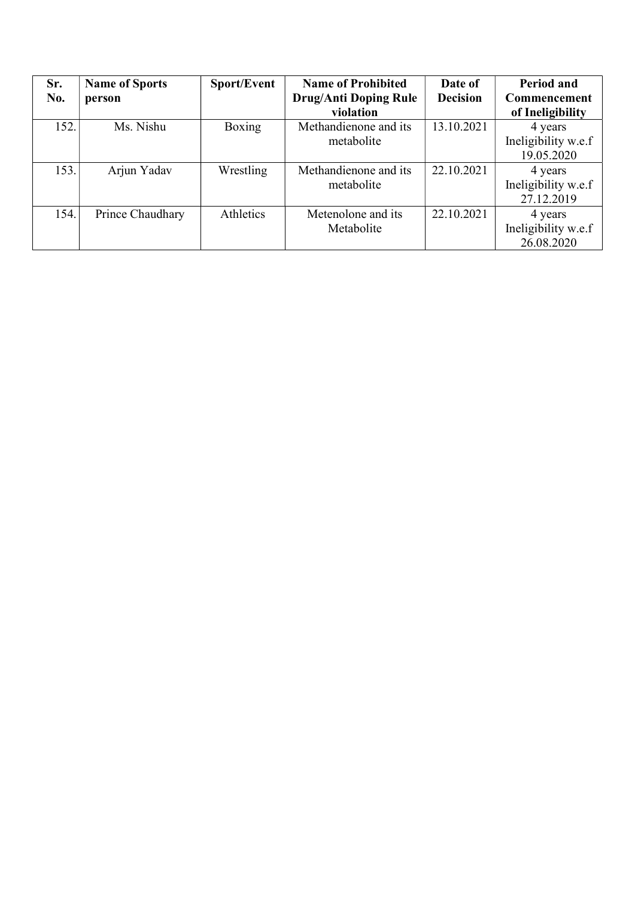| Sr.<br>No. | <b>Name of Sports</b><br>person | Sport/Event | <b>Name of Prohibited</b><br><b>Drug/Anti Doping Rule</b><br>violation | Date of<br><b>Decision</b> | Period and<br>Commencement<br>of Ineligibility |
|------------|---------------------------------|-------------|------------------------------------------------------------------------|----------------------------|------------------------------------------------|
| 152.       | Ms. Nishu                       | Boxing      | Methandienone and its<br>metabolite                                    | 13.10.2021                 | 4 years<br>Ineligibility w.e.f<br>19.05.2020   |
| 153.       | Arjun Yadav                     | Wrestling   | Methandienone and its<br>metabolite                                    | 22.10.2021                 | 4 years<br>Ineligibility w.e.f<br>27.12.2019   |
| 154.       | Prince Chaudhary                | Athletics   | Metenolone and its<br>Metabolite                                       | 22.10.2021                 | 4 years<br>Ineligibility w.e.f<br>26.08.2020   |